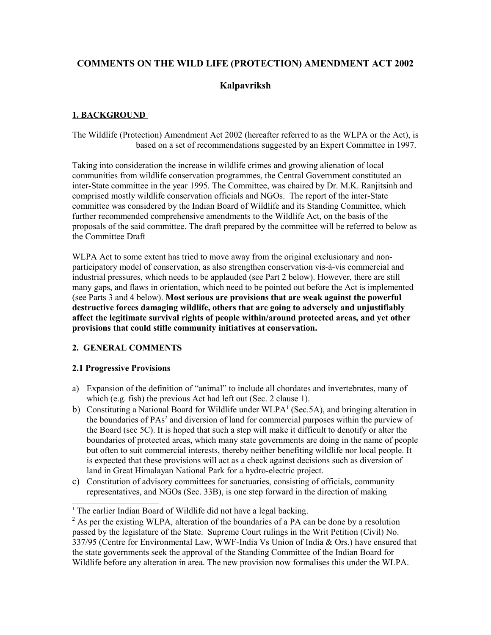# **COMMENTS ON THE WILD LIFE (PROTECTION) AMENDMENT ACT 2002**

# **Kalpavriksh**

## **1. BACKGROUND**

The Wildlife (Protection) Amendment Act 2002 (hereafter referred to as the WLPA or the Act), is based on a set of recommendations suggested by an Expert Committee in 1997.

Taking into consideration the increase in wildlife crimes and growing alienation of local communities from wildlife conservation programmes, the Central Government constituted an inter-State committee in the year 1995. The Committee, was chaired by Dr. M.K. Ranjitsinh and comprised mostly wildlife conservation officials and NGOs. The report of the inter-State committee was considered by the Indian Board of Wildlife and its Standing Committee, which further recommended comprehensive amendments to the Wildlife Act, on the basis of the proposals of the said committee. The draft prepared by the committee will be referred to below as the Committee Draft

WLPA Act to some extent has tried to move away from the original exclusionary and nonparticipatory model of conservation, as also strengthen conservation vis-à-vis commercial and industrial pressures, which needs to be applauded (see Part 2 below). However, there are still many gaps, and flaws in orientation, which need to be pointed out before the Act is implemented (see Parts 3 and 4 below). **Most serious are provisions that are weak against the powerful destructive forces damaging wildlife, others that are going to adversely and unjustifiably affect the legitimate survival rights of people within/around protected areas, and yet other provisions that could stifle community initiatives at conservation.** 

## **2. GENERAL COMMENTS**

## **2.1 Progressive Provisions**

- a) Expansion of the definition of "animal" to include all chordates and invertebrates, many of which (e.g. fish) the previous Act had left out (Sec. 2 clause 1).
- b) Constituting a National Board for Wildlife under WLPA<sup>[1](#page-0-0)</sup> (Sec.5A), and bringing alteration in the boundaries of PAs<sup>[2](#page-0-1)</sup> and diversion of land for commercial purposes within the purview of the Board (sec 5C). It is hoped that such a step will make it difficult to denotify or alter the boundaries of protected areas, which many state governments are doing in the name of people but often to suit commercial interests, thereby neither benefiting wildlife nor local people. It is expected that these provisions will act as a check against decisions such as diversion of land in Great Himalayan National Park for a hydro-electric project.
- c) Constitution of advisory committees for sanctuaries, consisting of officials, community representatives, and NGOs (Sec. 33B), is one step forward in the direction of making

<span id="page-0-0"></span><sup>&</sup>lt;sup>1</sup> The earlier Indian Board of Wildlife did not have a legal backing.

<span id="page-0-1"></span> $2^2$  As per the existing WLPA, alteration of the boundaries of a PA can be done by a resolution passed by the legislature of the State. Supreme Court rulings in the Writ Petition (Civil) No. 337/95 (Centre for Environmental Law, WWF-India Vs Union of India & Ors.) have ensured that the state governments seek the approval of the Standing Committee of the Indian Board for Wildlife before any alteration in area. The new provision now formalises this under the WLPA.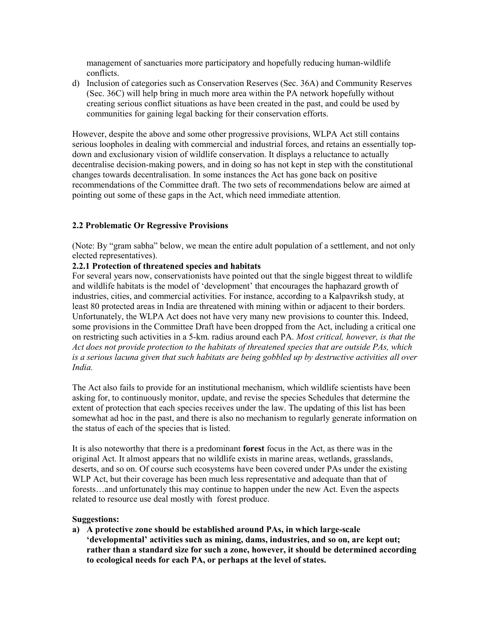management of sanctuaries more participatory and hopefully reducing human-wildlife conflicts.

d) Inclusion of categories such as Conservation Reserves (Sec. 36A) and Community Reserves (Sec. 36C) will help bring in much more area within the PA network hopefully without creating serious conflict situations as have been created in the past, and could be used by communities for gaining legal backing for their conservation efforts.

However, despite the above and some other progressive provisions, WLPA Act still contains serious loopholes in dealing with commercial and industrial forces, and retains an essentially topdown and exclusionary vision of wildlife conservation. It displays a reluctance to actually decentralise decision-making powers, and in doing so has not kept in step with the constitutional changes towards decentralisation. In some instances the Act has gone back on positive recommendations of the Committee draft. The two sets of recommendations below are aimed at pointing out some of these gaps in the Act, which need immediate attention.

## **2.2 Problematic Or Regressive Provisions**

(Note: By "gram sabha" below, we mean the entire adult population of a settlement, and not only elected representatives).

## **2.2.1 Protection of threatened species and habitats**

For several years now, conservationists have pointed out that the single biggest threat to wildlife and wildlife habitats is the model of 'development' that encourages the haphazard growth of industries, cities, and commercial activities. For instance, according to a Kalpavriksh study, at least 80 protected areas in India are threatened with mining within or adjacent to their borders. Unfortunately, the WLPA Act does not have very many new provisions to counter this. Indeed, some provisions in the Committee Draft have been dropped from the Act, including a critical one on restricting such activities in a 5-km. radius around each PA. *Most critical, however, is that the Act does not provide protection to the habitats of threatened species that are outside PAs, which is a serious lacuna given that such habitats are being gobbled up by destructive activities all over India.* 

The Act also fails to provide for an institutional mechanism, which wildlife scientists have been asking for, to continuously monitor, update, and revise the species Schedules that determine the extent of protection that each species receives under the law. The updating of this list has been somewhat ad hoc in the past, and there is also no mechanism to regularly generate information on the status of each of the species that is listed.

It is also noteworthy that there is a predominant **forest** focus in the Act, as there was in the original Act. It almost appears that no wildlife exists in marine areas, wetlands, grasslands, deserts, and so on. Of course such ecosystems have been covered under PAs under the existing WLP Act, but their coverage has been much less representative and adequate than that of forests…and unfortunately this may continue to happen under the new Act. Even the aspects related to resource use deal mostly with forest produce.

#### **Suggestions:**

**a) A protective zone should be established around PAs, in which large-scale 'developmental' activities such as mining, dams, industries, and so on, are kept out; rather than a standard size for such a zone, however, it should be determined according to ecological needs for each PA, or perhaps at the level of states.**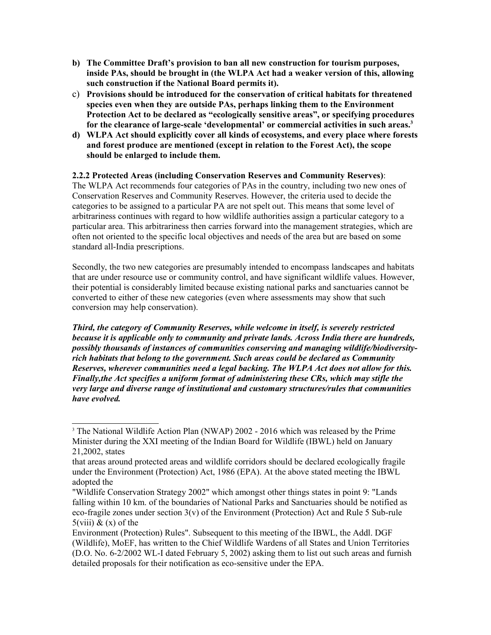- **b) The Committee Draft's provision to ban all new construction for tourism purposes, inside PAs, should be brought in (the WLPA Act had a weaker version of this, allowing such construction if the National Board permits it).**
- c) **Provisions should be introduced for the conservation of critical habitats for threatened species even when they are outside PAs, perhaps linking them to the Environment Protection Act to be declared as "ecologically sensitive areas", or specifying procedures for the clearance of large-scale 'developmental' or commercial activities in such areas.[3](#page-2-0)**
- **d) WLPA Act should explicitly cover all kinds of ecosystems, and every place where forests and forest produce are mentioned (except in relation to the Forest Act), the scope should be enlarged to include them.**

## **2.2.2 Protected Areas (including Conservation Reserves and Community Reserves)**:

The WLPA Act recommends four categories of PAs in the country, including two new ones of Conservation Reserves and Community Reserves. However, the criteria used to decide the categories to be assigned to a particular PA are not spelt out. This means that some level of arbitrariness continues with regard to how wildlife authorities assign a particular category to a particular area. This arbitrariness then carries forward into the management strategies, which are often not oriented to the specific local objectives and needs of the area but are based on some standard all-India prescriptions.

Secondly, the two new categories are presumably intended to encompass landscapes and habitats that are under resource use or community control, and have significant wildlife values. However, their potential is considerably limited because existing national parks and sanctuaries cannot be converted to either of these new categories (even where assessments may show that such conversion may help conservation).

*Third, the category of Community Reserves, while welcome in itself, is severely restricted because it is applicable only to community and private lands. Across India there are hundreds, possibly thousands of instances of communities conserving and managing wildlife/biodiversityrich habitats that belong to the government. Such areas could be declared as Community Reserves, wherever communities need a legal backing. The WLPA Act does not allow for this. Finally,the Act specifies a uniform format of administering these CRs, which may stifle the very large and diverse range of institutional and customary structures/rules that communities have evolved.* 

<span id="page-2-0"></span><sup>&</sup>lt;sup>3</sup> The National Wildlife Action Plan (NWAP) 2002 - 2016 which was released by the Prime Minister during the XXI meeting of the Indian Board for Wildlife (IBWL) held on January 21,2002, states

that areas around protected areas and wildlife corridors should be declared ecologically fragile under the Environment (Protection) Act, 1986 (EPA). At the above stated meeting the IBWL adopted the

<sup>&</sup>quot;Wildlife Conservation Strategy 2002" which amongst other things states in point 9: "Lands falling within 10 km. of the boundaries of National Parks and Sanctuaries should be notified as eco-fragile zones under section  $3(v)$  of the Environment (Protection) Act and Rule 5 Sub-rule  $5(viii)$  &  $(x)$  of the

Environment (Protection) Rules". Subsequent to this meeting of the IBWL, the Addl. DGF (Wildlife), MoEF, has written to the Chief Wildlife Wardens of all States and Union Territories (D.O. No. 6-2/2002 WL-I dated February 5, 2002) asking them to list out such areas and furnish detailed proposals for their notification as eco-sensitive under the EPA.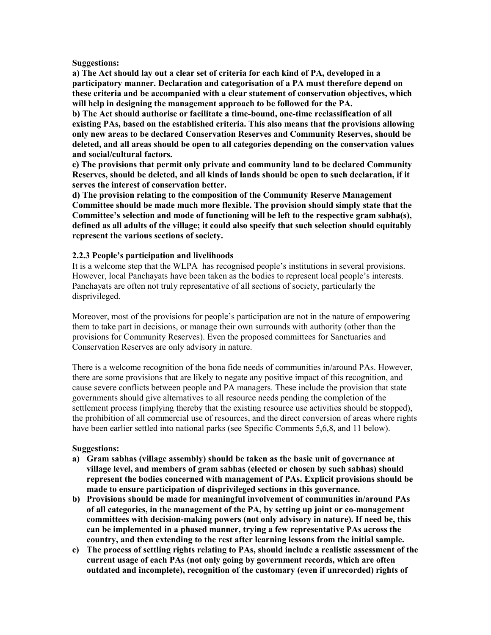#### **Suggestions:**

**a) The Act should lay out a clear set of criteria for each kind of PA, developed in a participatory manner. Declaration and categorisation of a PA must therefore depend on these criteria and be accompanied with a clear statement of conservation objectives, which will help in designing the management approach to be followed for the PA.**

**b) The Act should authorise or facilitate a time-bound, one-time reclassification of all existing PAs, based on the established criteria. This also means that the provisions allowing only new areas to be declared Conservation Reserves and Community Reserves, should be deleted, and all areas should be open to all categories depending on the conservation values and social/cultural factors.** 

**c) The provisions that permit only private and community land to be declared Community Reserves, should be deleted, and all kinds of lands should be open to such declaration, if it serves the interest of conservation better.** 

**d) The provision relating to the composition of the Community Reserve Management Committee should be made much more flexible. The provision should simply state that the Committee's selection and mode of functioning will be left to the respective gram sabha(s), defined as all adults of the village; it could also specify that such selection should equitably represent the various sections of society.** 

## **2.2.3 People's participation and livelihoods**

It is a welcome step that the WLPA has recognised people's institutions in several provisions. However, local Panchayats have been taken as the bodies to represent local people's interests. Panchayats are often not truly representative of all sections of society, particularly the disprivileged.

Moreover, most of the provisions for people's participation are not in the nature of empowering them to take part in decisions, or manage their own surrounds with authority (other than the provisions for Community Reserves). Even the proposed committees for Sanctuaries and Conservation Reserves are only advisory in nature.

There is a welcome recognition of the bona fide needs of communities in/around PAs. However, there are some provisions that are likely to negate any positive impact of this recognition, and cause severe conflicts between people and PA managers. These include the provision that state governments should give alternatives to all resource needs pending the completion of the settlement process (implying thereby that the existing resource use activities should be stopped), the prohibition of all commercial use of resources, and the direct conversion of areas where rights have been earlier settled into national parks (see Specific Comments 5,6,8, and 11 below).

## **Suggestions:**

- **a) Gram sabhas (village assembly) should be taken as the basic unit of governance at village level, and members of gram sabhas (elected or chosen by such sabhas) should represent the bodies concerned with management of PAs. Explicit provisions should be made to ensure participation of disprivileged sections in this governance.**
- **b) Provisions should be made for meaningful involvement of communities in/around PAs of all categories, in the management of the PA, by setting up joint or co-management committees with decision-making powers (not only advisory in nature). If need be, this can be implemented in a phased manner, trying a few representative PAs across the country, and then extending to the rest after learning lessons from the initial sample.**
- **c) The process of settling rights relating to PAs, should include a realistic assessment of the current usage of each PAs (not only going by government records, which are often outdated and incomplete), recognition of the customary (even if unrecorded) rights of**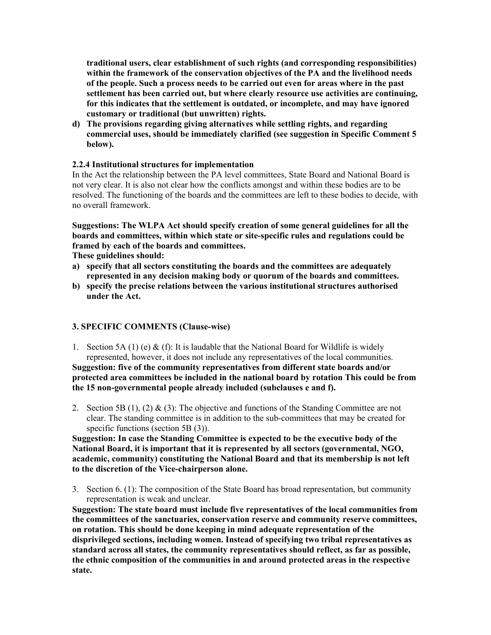**traditional users, clear establishment of such rights (and corresponding responsibilities) within the framework of the conservation objectives of the PA and the livelihood needs of the people. Such a process needs to be carried out even for areas where in the past settlement has been carried out, but where clearly resource use activities are continuing, for this indicates that the settlement is outdated, or incomplete, and may have ignored customary or traditional (but unwritten) rights.** 

**d) The provisions regarding giving alternatives while settling rights, and regarding commercial uses, should be immediately clarified (see suggestion in Specific Comment 5 below).** 

## **2.2.4 Institutional structures for implementation**

In the Act the relationship between the PA level committees, State Board and National Board is not very clear. It is also not clear how the conflicts amongst and within these bodies are to be resolved. The functioning of the boards and the committees are left to these bodies to decide, with no overall framework.

**Suggestions: The WLPA Act should specify creation of some general guidelines for all the boards and committees, within which state or site-specific rules and regulations could be framed by each of the boards and committees.** 

**These guidelines should:**

- **a) specify that all sectors constituting the boards and the committees are adequately represented in any decision making body or quorum of the boards and committees.**
- **b) specify the precise relations between the various institutional structures authorised under the Act.**

## **3. SPECIFIC COMMENTS (Clause-wise)**

1. Section 5A (1) (e) & (f): It is laudable that the National Board for Wildlife is widely represented, however, it does not include any representatives of the local communities. **Suggestion: five of the community representatives from different state boards and/or**

**protected area committees be included in the national board by rotation This could be from the 15 non-governmental people already included (subclauses e and f).** 

2. Section 5B (1), (2) & (3): The objective and functions of the Standing Committee are not clear. The standing committee is in addition to the sub-committees that may be created for specific functions (section 5B (3)).

**Suggestion: In case the Standing Committee is expected to be the executive body of the National Board, it is important that it is represented by all sectors (governmental, NGO, academic, community) constituting the National Board and that its membership is not left to the discretion of the Vice-chairperson alone.**

3. Section 6. (1): The composition of the State Board has broad representation, but community representation is weak and unclear.

**Suggestion: The state board must include five representatives of the local communities from the committees of the sanctuaries, conservation reserve and community reserve committees, on rotation. This should be done keeping in mind adequate representation of the disprivileged sections, including women. Instead of specifying two tribal representatives as standard across all states, the community representatives should reflect, as far as possible, the ethnic composition of the communities in and around protected areas in the respective state.**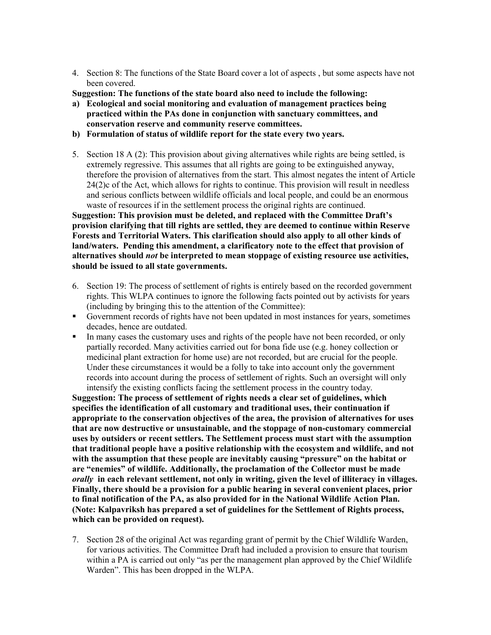- 4. Section 8: The functions of the State Board cover a lot of aspects , but some aspects have not been covered.
- **Suggestion: The functions of the state board also need to include the following:**
- **a) Ecological and social monitoring and evaluation of management practices being practiced within the PAs done in conjunction with sanctuary committees, and conservation reserve and community reserve committees.**
- **b) Formulation of status of wildlife report for the state every two years.**
- 5. Section 18 A (2): This provision about giving alternatives while rights are being settled, is extremely regressive. This assumes that all rights are going to be extinguished anyway, therefore the provision of alternatives from the start. This almost negates the intent of Article 24(2)c of the Act, which allows for rights to continue. This provision will result in needless and serious conflicts between wildlife officials and local people, and could be an enormous waste of resources if in the settlement process the original rights are continued.

**Suggestion: This provision must be deleted, and replaced with the Committee Draft's provision clarifying that till rights are settled, they are deemed to continue within Reserve Forests and Territorial Waters. This clarification should also apply to all other kinds of land/waters. Pending this amendment, a clarificatory note to the effect that provision of alternatives should** *not* **be interpreted to mean stoppage of existing resource use activities, should be issued to all state governments.** 

- 6. Section 19: The process of settlement of rights is entirely based on the recorded government rights. This WLPA continues to ignore the following facts pointed out by activists for years (including by bringing this to the attention of the Committee):
- Government records of rights have not been updated in most instances for years, sometimes decades, hence are outdated.
- In many cases the customary uses and rights of the people have not been recorded, or only partially recorded. Many activities carried out for bona fide use (e.g. honey collection or medicinal plant extraction for home use) are not recorded, but are crucial for the people. Under these circumstances it would be a folly to take into account only the government records into account during the process of settlement of rights. Such an oversight will only intensify the existing conflicts facing the settlement process in the country today.

**Suggestion: The process of settlement of rights needs a clear set of guidelines, which specifies the identification of all customary and traditional uses, their continuation if appropriate to the conservation objectives of the area, the provision of alternatives for uses that are now destructive or unsustainable, and the stoppage of non-customary commercial uses by outsiders or recent settlers. The Settlement process must start with the assumption that traditional people have a positive relationship with the ecosystem and wildlife, and not with the assumption that these people are inevitably causing "pressure" on the habitat or are "enemies" of wildlife. Additionally, the proclamation of the Collector must be made** *orally* **in each relevant settlement, not only in writing, given the level of illiteracy in villages. Finally, there should be a provision for a public hearing in several convenient places, prior to final notification of the PA, as also provided for in the National Wildlife Action Plan. (Note: Kalpavriksh has prepared a set of guidelines for the Settlement of Rights process, which can be provided on request).** 

7. Section 28 of the original Act was regarding grant of permit by the Chief Wildlife Warden, for various activities. The Committee Draft had included a provision to ensure that tourism within a PA is carried out only "as per the management plan approved by the Chief Wildlife Warden". This has been dropped in the WLPA.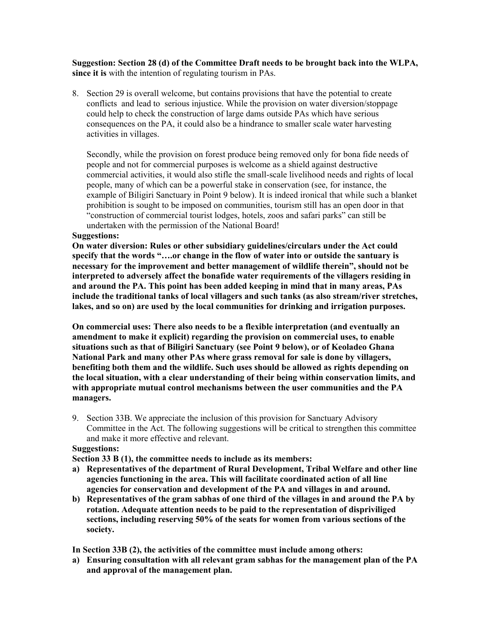**Suggestion: Section 28 (d) of the Committee Draft needs to be brought back into the WLPA, since it is** with the intention of regulating tourism in PAs.

8. Section 29 is overall welcome, but contains provisions that have the potential to create conflicts and lead to serious injustice. While the provision on water diversion/stoppage could help to check the construction of large dams outside PAs which have serious consequences on the PA, it could also be a hindrance to smaller scale water harvesting activities in villages.

Secondly, while the provision on forest produce being removed only for bona fide needs of people and not for commercial purposes is welcome as a shield against destructive commercial activities, it would also stifle the small-scale livelihood needs and rights of local people, many of which can be a powerful stake in conservation (see, for instance, the example of Biligiri Sanctuary in Point 9 below). It is indeed ironical that while such a blanket prohibition is sought to be imposed on communities, tourism still has an open door in that "construction of commercial tourist lodges, hotels, zoos and safari parks" can still be undertaken with the permission of the National Board!

#### **Suggestions:**

**On water diversion: Rules or other subsidiary guidelines/circulars under the Act could specify that the words "….or change in the flow of water into or outside the santuary is necessary for the improvement and better management of wildlife therein", should not be interpreted to adversely affect the bonafide water requirements of the villagers residing in and around the PA. This point has been added keeping in mind that in many areas, PAs include the traditional tanks of local villagers and such tanks (as also stream/river stretches, lakes, and so on) are used by the local communities for drinking and irrigation purposes.**

**On commercial uses: There also needs to be a flexible interpretation (and eventually an amendment to make it explicit) regarding the provision on commercial uses, to enable situations such as that of Biligiri Sanctuary (see Point 9 below), or of Keoladeo Ghana National Park and many other PAs where grass removal for sale is done by villagers, benefiting both them and the wildlife. Such uses should be allowed as rights depending on the local situation, with a clear understanding of their being within conservation limits, and with appropriate mutual control mechanisms between the user communities and the PA managers.** 

9. Section 33B. We appreciate the inclusion of this provision for Sanctuary Advisory Committee in the Act. The following suggestions will be critical to strengthen this committee and make it more effective and relevant.

#### **Suggestions:**

**Section 33 B (1), the committee needs to include as its members:**

- **a) Representatives of the department of Rural Development, Tribal Welfare and other line agencies functioning in the area. This will facilitate coordinated action of all line agencies for conservation and development of the PA and villages in and around.**
- **b) Representatives of the gram sabhas of one third of the villages in and around the PA by rotation. Adequate attention needs to be paid to the representation of dispriviliged sections, including reserving 50% of the seats for women from various sections of the society.**

**In Section 33B (2), the activities of the committee must include among others:**

**a) Ensuring consultation with all relevant gram sabhas for the management plan of the PA and approval of the management plan.**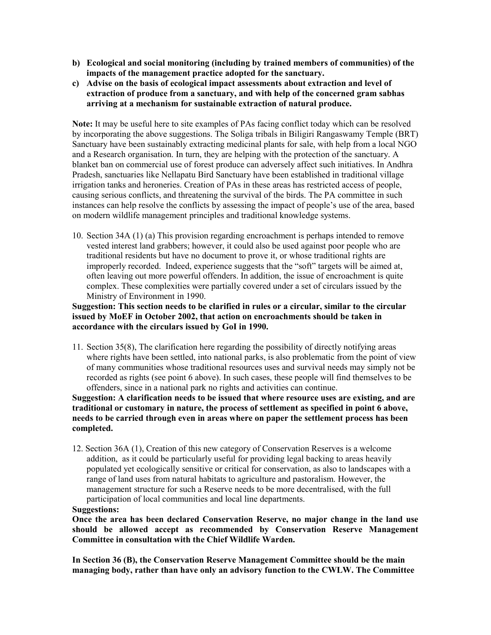- **b) Ecological and social monitoring (including by trained members of communities) of the impacts of the management practice adopted for the sanctuary.**
- **c) Advise on the basis of ecological impact assessments about extraction and level of extraction of produce from a sanctuary, and with help of the concerned gram sabhas arriving at a mechanism for sustainable extraction of natural produce.**

**Note:** It may be useful here to site examples of PAs facing conflict today which can be resolved by incorporating the above suggestions. The Soliga tribals in Biligiri Rangaswamy Temple (BRT) Sanctuary have been sustainably extracting medicinal plants for sale, with help from a local NGO and a Research organisation. In turn, they are helping with the protection of the sanctuary. A blanket ban on commercial use of forest produce can adversely affect such initiatives. In Andhra Pradesh, sanctuaries like Nellapatu Bird Sanctuary have been established in traditional village irrigation tanks and heroneries. Creation of PAs in these areas has restricted access of people, causing serious conflicts, and threatening the survival of the birds. The PA committee in such instances can help resolve the conflicts by assessing the impact of people's use of the area, based on modern wildlife management principles and traditional knowledge systems.

10. Section 34A (1) (a) This provision regarding encroachment is perhaps intended to remove vested interest land grabbers; however, it could also be used against poor people who are traditional residents but have no document to prove it, or whose traditional rights are improperly recorded. Indeed, experience suggests that the "soft" targets will be aimed at, often leaving out more powerful offenders. In addition, the issue of encroachment is quite complex. These complexities were partially covered under a set of circulars issued by the Ministry of Environment in 1990.

**Suggestion: This section needs to be clarified in rules or a circular, similar to the circular issued by MoEF in October 2002, that action on encroachments should be taken in accordance with the circulars issued by GoI in 1990.**

11. Section 35(8), The clarification here regarding the possibility of directly notifying areas where rights have been settled, into national parks, is also problematic from the point of view of many communities whose traditional resources uses and survival needs may simply not be recorded as rights (see point 6 above). In such cases, these people will find themselves to be offenders, since in a national park no rights and activities can continue.

**Suggestion: A clarification needs to be issued that where resource uses are existing, and are traditional or customary in nature, the process of settlement as specified in point 6 above, needs to be carried through even in areas where on paper the settlement process has been completed.** 

12. Section 36A (1), Creation of this new category of Conservation Reserves is a welcome addition, as it could be particularly useful for providing legal backing to areas heavily populated yet ecologically sensitive or critical for conservation, as also to landscapes with a range of land uses from natural habitats to agriculture and pastoralism. However, the management structure for such a Reserve needs to be more decentralised, with the full participation of local communities and local line departments.

## **Suggestions:**

**Once the area has been declared Conservation Reserve, no major change in the land use should be allowed accept as recommended by Conservation Reserve Management Committee in consultation with the Chief Wildlife Warden.** 

**In Section 36 (B), the Conservation Reserve Management Committee should be the main managing body, rather than have only an advisory function to the CWLW. The Committee**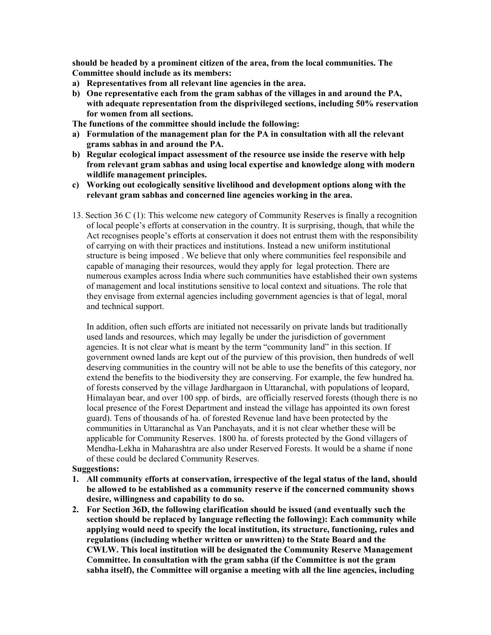**should be headed by a prominent citizen of the area, from the local communities. The Committee should include as its members:**

- **a) Representatives from all relevant line agencies in the area.**
- **b) One representative each from the gram sabhas of the villages in and around the PA, with adequate representation from the disprivileged sections, including 50% reservation for women from all sections.**

**The functions of the committee should include the following:**

- **a) Formulation of the management plan for the PA in consultation with all the relevant grams sabhas in and around the PA.**
- **b) Regular ecological impact assessment of the resource use inside the reserve with help from relevant gram sabhas and using local expertise and knowledge along with modern wildlife management principles.**
- **c) Working out ecologically sensitive livelihood and development options along with the relevant gram sabhas and concerned line agencies working in the area.**
- 13. Section 36 C (1): This welcome new category of Community Reserves is finally a recognition of local people's efforts at conservation in the country. It is surprising, though, that while the Act recognises people's efforts at conservation it does not entrust them with the responsibility of carrying on with their practices and institutions. Instead a new uniform institutional structure is being imposed . We believe that only where communities feel responsibile and capable of managing their resources, would they apply for legal protection. There are numerous examples across India where such communities have established their own systems of management and local institutions sensitive to local context and situations. The role that they envisage from external agencies including government agencies is that of legal, moral and technical support.

In addition, often such efforts are initiated not necessarily on private lands but traditionally used lands and resources, which may legally be under the jurisdiction of government agencies. It is not clear what is meant by the term "community land" in this section. If government owned lands are kept out of the purview of this provision, then hundreds of well deserving communities in the country will not be able to use the benefits of this category, nor extend the benefits to the biodiversity they are conserving. For example, the few hundred ha. of forests conserved by the village Jardhargaon in Uttaranchal, with populations of leopard, Himalayan bear, and over 100 spp. of birds, are officially reserved forests (though there is no local presence of the Forest Department and instead the village has appointed its own forest guard). Tens of thousands of ha. of forested Revenue land have been protected by the communities in Uttaranchal as Van Panchayats, and it is not clear whether these will be applicable for Community Reserves. 1800 ha. of forests protected by the Gond villagers of Mendha-Lekha in Maharashtra are also under Reserved Forests. It would be a shame if none of these could be declared Community Reserves.

#### **Suggestions:**

- **1. All community efforts at conservation, irrespective of the legal status of the land, should be allowed to be established as a community reserve if the concerned community shows desire, willingness and capability to do so.**
- **2. For Section 36D, the following clarification should be issued (and eventually such the section should be replaced by language reflecting the following): Each community while applying would need to specify the local institution, its structure, functioning, rules and regulations (including whether written or unwritten) to the State Board and the CWLW. This local institution will be designated the Community Reserve Management Committee. In consultation with the gram sabha (if the Committee is not the gram sabha itself), the Committee will organise a meeting with all the line agencies, including**